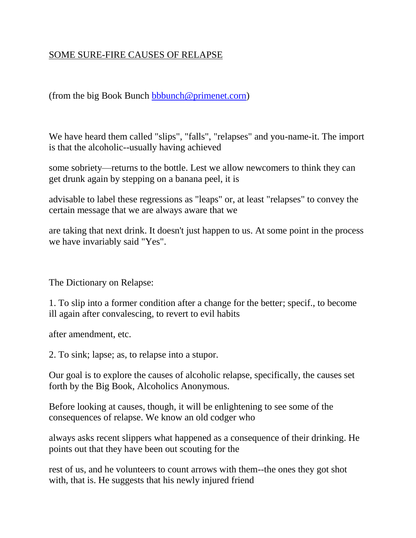# SOME SURE-FIRE CAUSES OF RELAPSE

(from the big Book Bunch [bbbunch@primenet.corn\)](mailto:bbbunch@primenet.corn)

We have heard them called "slips", "falls", "relapses" and you-name-it. The import is that the alcoholic--usually having achieved

some sobriety—returns to the bottle. Lest we allow newcomers to think they can get drunk again by stepping on a banana peel, it is

advisable to label these regressions as "leaps" or, at least "relapses" to convey the certain message that we are always aware that we

are taking that next drink. It doesn't just happen to us. At some point in the process we have invariably said "Yes".

The Dictionary on Relapse:

1. To slip into a former condition after a change for the better; specif., to become ill again after convalescing, to revert to evil habits

after amendment, etc.

2. To sink; lapse; as, to relapse into a stupor.

Our goal is to explore the causes of alcoholic relapse, specifically, the causes set forth by the Big Book, Alcoholics Anonymous.

Before looking at causes, though, it will be enlightening to see some of the consequences of relapse. We know an old codger who

always asks recent slippers what happened as a consequence of their drinking. He points out that they have been out scouting for the

rest of us, and he volunteers to count arrows with them--the ones they got shot with, that is. He suggests that his newly injured friend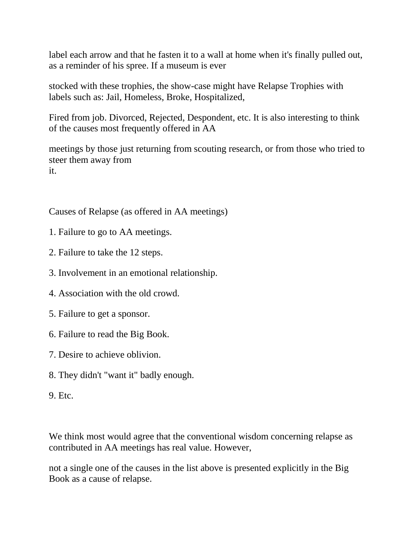label each arrow and that he fasten it to a wall at home when it's finally pulled out, as a reminder of his spree. If a museum is ever

stocked with these trophies, the show-case might have Relapse Trophies with labels such as: Jail, Homeless, Broke, Hospitalized,

Fired from job. Divorced, Rejected, Despondent, etc. It is also interesting to think of the causes most frequently offered in AA

meetings by those just returning from scouting research, or from those who tried to steer them away from it.

Causes of Relapse (as offered in AA meetings)

- 1. Failure to go to AA meetings.
- 2. Failure to take the 12 steps.
- 3. Involvement in an emotional relationship.
- 4. Association with the old crowd.
- 5. Failure to get a sponsor.
- 6. Failure to read the Big Book.
- 7. Desire to achieve oblivion.
- 8. They didn't "want it" badly enough.
- 9. Etc.

We think most would agree that the conventional wisdom concerning relapse as contributed in AA meetings has real value. However,

not a single one of the causes in the list above is presented explicitly in the Big Book as a cause of relapse.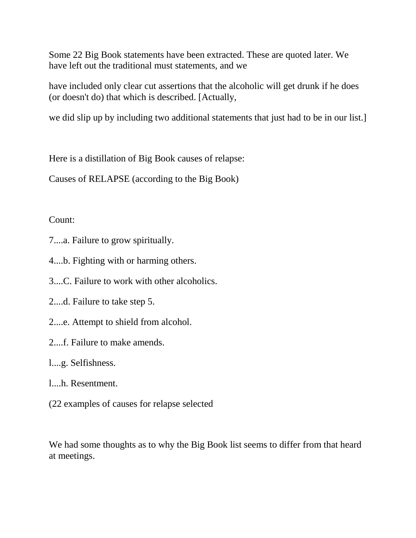Some 22 Big Book statements have been extracted. These are quoted later. We have left out the traditional must statements, and we

have included only clear cut assertions that the alcoholic will get drunk if he does (or doesn't do) that which is described. [Actually,

we did slip up by including two additional statements that just had to be in our list.]

Here is a distillation of Big Book causes of relapse:

Causes of RELAPSE (according to the Big Book)

# Count:

- 7....a. Failure to grow spiritually.
- 4....b. Fighting with or harming others.
- 3....C. Failure to work with other alcoholics.
- 2....d. Failure to take step 5.
- 2....e. Attempt to shield from alcohol.
- 2....f. Failure to make amends.
- l....g. Selfishness.
- l....h. Resentment.
- (22 examples of causes for relapse selected

We had some thoughts as to why the Big Book list seems to differ from that heard at meetings.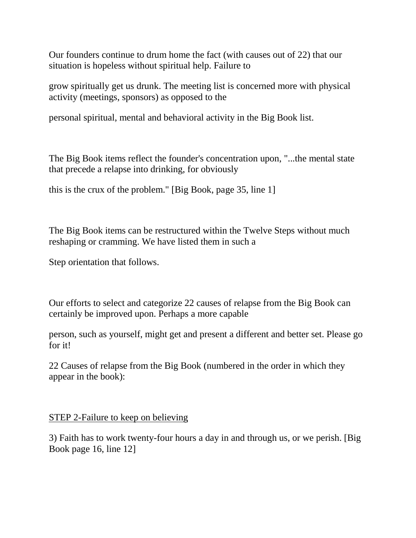Our founders continue to drum home the fact (with causes out of 22) that our situation is hopeless without spiritual help. Failure to

grow spiritually get us drunk. The meeting list is concerned more with physical activity (meetings, sponsors) as opposed to the

personal spiritual, mental and behavioral activity in the Big Book list.

The Big Book items reflect the founder's concentration upon, "...the mental state that precede a relapse into drinking, for obviously

this is the crux of the problem." [Big Book, page 35, line 1]

The Big Book items can be restructured within the Twelve Steps without much reshaping or cramming. We have listed them in such a

Step orientation that follows.

Our efforts to select and categorize 22 causes of relapse from the Big Book can certainly be improved upon. Perhaps a more capable

person, such as yourself, might get and present a different and better set. Please go for it!

22 Causes of relapse from the Big Book (numbered in the order in which they appear in the book):

#### STEP 2-Failure to keep on believing

3) Faith has to work twenty-four hours a day in and through us, or we perish. [Big Book page 16, line 12]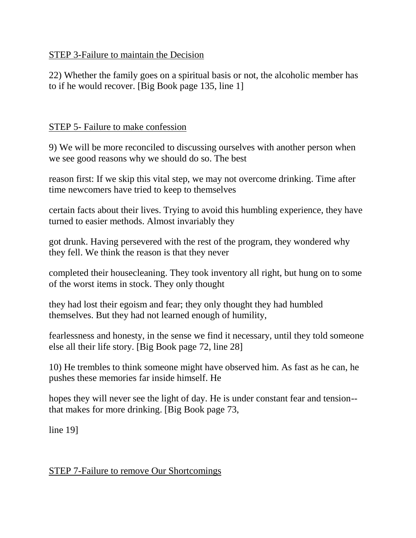## STEP 3-Failure to maintain the Decision

22) Whether the family goes on a spiritual basis or not, the alcoholic member has to if he would recover. [Big Book page 135, line 1]

## STEP 5- Failure to make confession

9) We will be more reconciled to discussing ourselves with another person when we see good reasons why we should do so. The best

reason first: If we skip this vital step, we may not overcome drinking. Time after time newcomers have tried to keep to themselves

certain facts about their lives. Trying to avoid this humbling experience, they have turned to easier methods. Almost invariably they

got drunk. Having persevered with the rest of the program, they wondered why they fell. We think the reason is that they never

completed their housecleaning. They took inventory all right, but hung on to some of the worst items in stock. They only thought

they had lost their egoism and fear; they only thought they had humbled themselves. But they had not learned enough of humility,

fearlessness and honesty, in the sense we find it necessary, until they told someone else all their life story. [Big Book page 72, line 28]

10) He trembles to think someone might have observed him. As fast as he can, he pushes these memories far inside himself. He

hopes they will never see the light of day. He is under constant fear and tension- that makes for more drinking. [Big Book page 73,

line 19]

#### STEP 7-Failure to remove Our Shortcomings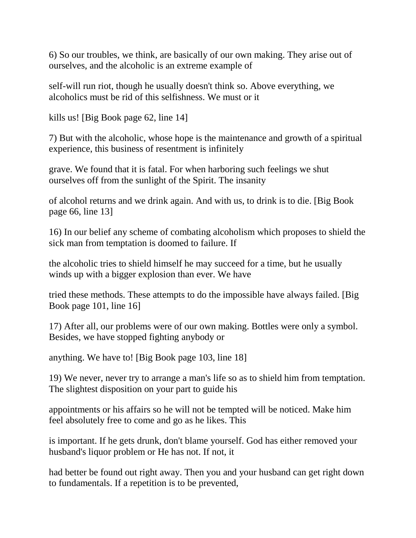6) So our troubles, we think, are basically of our own making. They arise out of ourselves, and the alcoholic is an extreme example of

self-will run riot, though he usually doesn't think so. Above everything, we alcoholics must be rid of this selfishness. We must or it

kills us! [Big Book page 62, line 14]

7) But with the alcoholic, whose hope is the maintenance and growth of a spiritual experience, this business of resentment is infinitely

grave. We found that it is fatal. For when harboring such feelings we shut ourselves off from the sunlight of the Spirit. The insanity

of alcohol returns and we drink again. And with us, to drink is to die. [Big Book page 66, line 13]

16) In our belief any scheme of combating alcoholism which proposes to shield the sick man from temptation is doomed to failure. If

the alcoholic tries to shield himself he may succeed for a time, but he usually winds up with a bigger explosion than ever. We have

tried these methods. These attempts to do the impossible have always failed. [Big Book page 101, line 16]

17) After all, our problems were of our own making. Bottles were only a symbol. Besides, we have stopped fighting anybody or

anything. We have to! [Big Book page 103, line 18]

19) We never, never try to arrange a man's life so as to shield him from temptation. The slightest disposition on your part to guide his

appointments or his affairs so he will not be tempted will be noticed. Make him feel absolutely free to come and go as he likes. This

is important. If he gets drunk, don't blame yourself. God has either removed your husband's liquor problem or He has not. If not, it

had better be found out right away. Then you and your husband can get right down to fundamentals. If a repetition is to be prevented,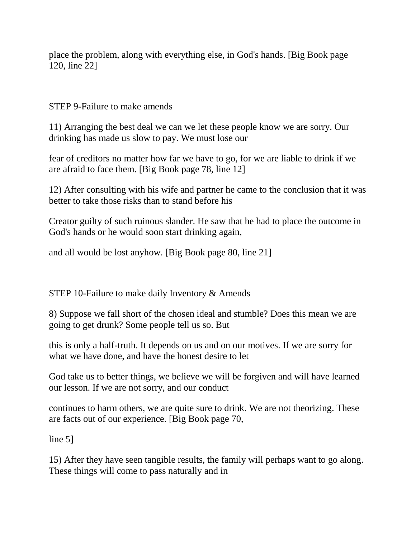place the problem, along with everything else, in God's hands. [Big Book page 120, line 22]

#### STEP 9-Failure to make amends

11) Arranging the best deal we can we let these people know we are sorry. Our drinking has made us slow to pay. We must lose our

fear of creditors no matter how far we have to go, for we are liable to drink if we are afraid to face them. [Big Book page 78, line 12]

12) After consulting with his wife and partner he came to the conclusion that it was better to take those risks than to stand before his

Creator guilty of such ruinous slander. He saw that he had to place the outcome in God's hands or he would soon start drinking again,

and all would be lost anyhow. [Big Book page 80, line 21]

#### STEP 10-Failure to make daily Inventory & Amends

8) Suppose we fall short of the chosen ideal and stumble? Does this mean we are going to get drunk? Some people tell us so. But

this is only a half-truth. It depends on us and on our motives. If we are sorry for what we have done, and have the honest desire to let

God take us to better things, we believe we will be forgiven and will have learned our lesson. If we are not sorry, and our conduct

continues to harm others, we are quite sure to drink. We are not theorizing. These are facts out of our experience. [Big Book page 70,

line 5]

15) After they have seen tangible results, the family will perhaps want to go along. These things will come to pass naturally and in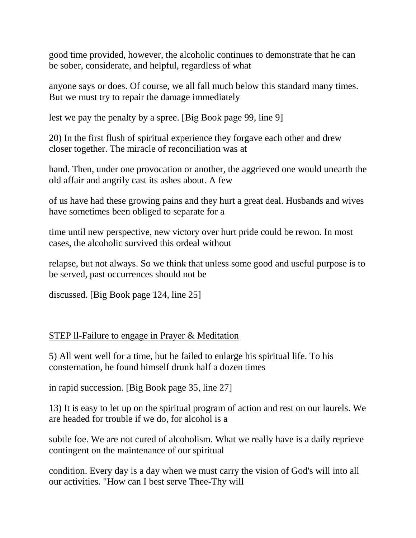good time provided, however, the alcoholic continues to demonstrate that he can be sober, considerate, and helpful, regardless of what

anyone says or does. Of course, we all fall much below this standard many times. But we must try to repair the damage immediately

lest we pay the penalty by a spree. [Big Book page 99, line 9]

20) In the first flush of spiritual experience they forgave each other and drew closer together. The miracle of reconciliation was at

hand. Then, under one provocation or another, the aggrieved one would unearth the old affair and angrily cast its ashes about. A few

of us have had these growing pains and they hurt a great deal. Husbands and wives have sometimes been obliged to separate for a

time until new perspective, new victory over hurt pride could be rewon. In most cases, the alcoholic survived this ordeal without

relapse, but not always. So we think that unless some good and useful purpose is to be served, past occurrences should not be

discussed. [Big Book page 124, line 25]

#### STEP ll-Failure to engage in Prayer & Meditation

5) All went well for a time, but he failed to enlarge his spiritual life. To his consternation, he found himself drunk half a dozen times

in rapid succession. [Big Book page 35, line 27]

13) It is easy to let up on the spiritual program of action and rest on our laurels. We are headed for trouble if we do, for alcohol is a

subtle foe. We are not cured of alcoholism. What we really have is a daily reprieve contingent on the maintenance of our spiritual

condition. Every day is a day when we must carry the vision of God's will into all our activities. "How can I best serve Thee-Thy will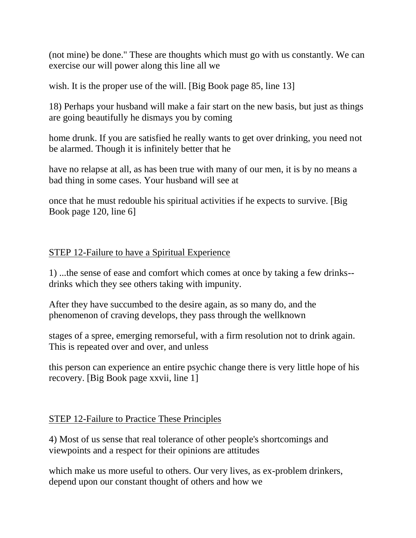(not mine) be done." These are thoughts which must go with us constantly. We can exercise our will power along this line all we

wish. It is the proper use of the will. [Big Book page 85, line 13]

18) Perhaps your husband will make a fair start on the new basis, but just as things are going beautifully he dismays you by coming

home drunk. If you are satisfied he really wants to get over drinking, you need not be alarmed. Though it is infinitely better that he

have no relapse at all, as has been true with many of our men, it is by no means a bad thing in some cases. Your husband will see at

once that he must redouble his spiritual activities if he expects to survive. [Big Book page 120, line 6]

### STEP 12-Failure to have a Spiritual Experience

1) ...the sense of ease and comfort which comes at once by taking a few drinks- drinks which they see others taking with impunity.

After they have succumbed to the desire again, as so many do, and the phenomenon of craving develops, they pass through the wellknown

stages of a spree, emerging remorseful, with a firm resolution not to drink again. This is repeated over and over, and unless

this person can experience an entire psychic change there is very little hope of his recovery. [Big Book page xxvii, line 1]

#### STEP 12-Failure to Practice These Principles

4) Most of us sense that real tolerance of other people's shortcomings and viewpoints and a respect for their opinions are attitudes

which make us more useful to others. Our very lives, as ex-problem drinkers, depend upon our constant thought of others and how we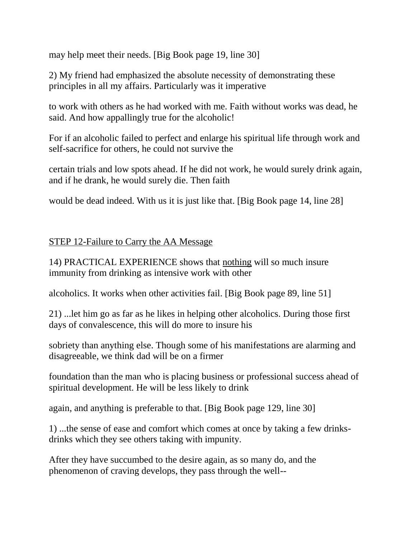may help meet their needs. [Big Book page 19, line 30]

2) My friend had emphasized the absolute necessity of demonstrating these principles in all my affairs. Particularly was it imperative

to work with others as he had worked with me. Faith without works was dead, he said. And how appallingly true for the alcoholic!

For if an alcoholic failed to perfect and enlarge his spiritual life through work and self-sacrifice for others, he could not survive the

certain trials and low spots ahead. If he did not work, he would surely drink again, and if he drank, he would surely die. Then faith

would be dead indeed. With us it is just like that. [Big Book page 14, line 28]

### STEP 12-Failure to Carry the AA Message

14) PRACTICAL EXPERIENCE shows that nothing will so much insure immunity from drinking as intensive work with other

alcoholics. It works when other activities fail. [Big Book page 89, line 51]

21) ...let him go as far as he likes in helping other alcoholics. During those first days of convalescence, this will do more to insure his

sobriety than anything else. Though some of his manifestations are alarming and disagreeable, we think dad will be on a firmer

foundation than the man who is placing business or professional success ahead of spiritual development. He will be less likely to drink

again, and anything is preferable to that. [Big Book page 129, line 30]

1) ...the sense of ease and comfort which comes at once by taking a few drinksdrinks which they see others taking with impunity.

After they have succumbed to the desire again, as so many do, and the phenomenon of craving develops, they pass through the well--